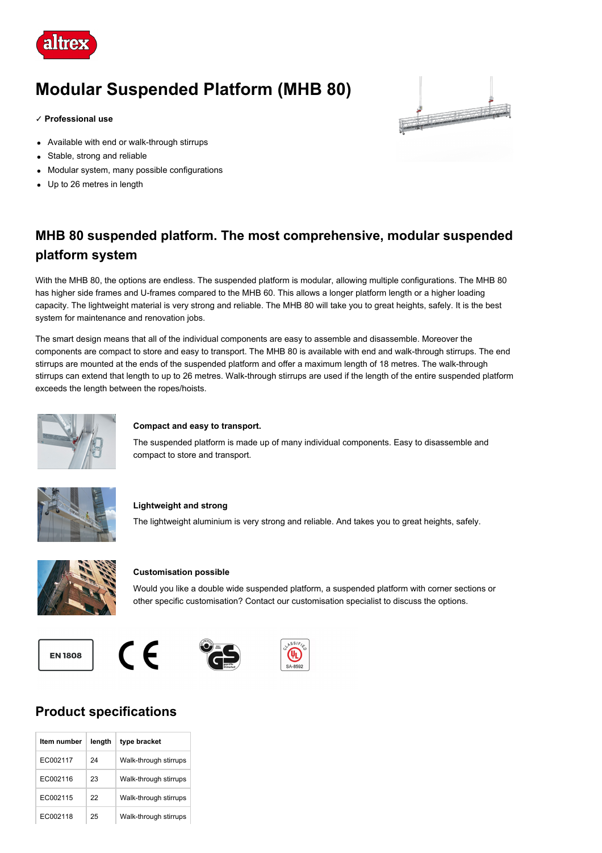

# **Modular Suspended Platform (MHB 80)**

#### **✓ Professional use**

- Available with end or walk-through stirrups
- Stable, strong and reliable  $\bullet$
- Modular system, many possible configurations
- Up to 26 metres in length



## **MHB 80 suspended platform. The most comprehensive, modular suspended platform system**

With the MHB 80, the options are endless. The suspended platform is modular, allowing multiple configurations. The MHB 80 has higher side frames and U-frames compared to the MHB 60. This allows a longer platform length or a higher loading capacity. The lightweight material is very strong and reliable. The MHB 80 will take you to great heights, safely. It is the best system for maintenance and renovation jobs.

The smart design means that all of the individual components are easy to assemble and disassemble. Moreover the components are compact to store and easy to transport. The MHB 80 is available with end and walk-through stirrups. The end stirrups are mounted at the ends of the suspended platform and offer a maximum length of 18 metres. The walk-through stirrups can extend that length to up to 26 metres. Walk-through stirrups are used if the length of the entire suspended platform exceeds the length between the ropes/hoists.



#### **Compact and easy to transport.**

The suspended platform is made up of many individual components. Easy to disassemble and compact to store and transport.



#### **Lightweight and strong**

The lightweight aluminium is very strong and reliable. And takes you to great heights, safely.



#### **Customisation possible**

Would you like a double wide suspended platform, a suspended platform with corner sections or other specific customisation? Contact our customisation specialist to discuss the options.







### **Product specifications**

| Item number | length | type bracket          |
|-------------|--------|-----------------------|
| FC002117    | 24     | Walk-through stirrups |
| FC002116    | 23     | Walk-through stirrups |
| FC002115    | 22     | Walk-through stirrups |
| FC002118    | 25     | Walk-through stirrups |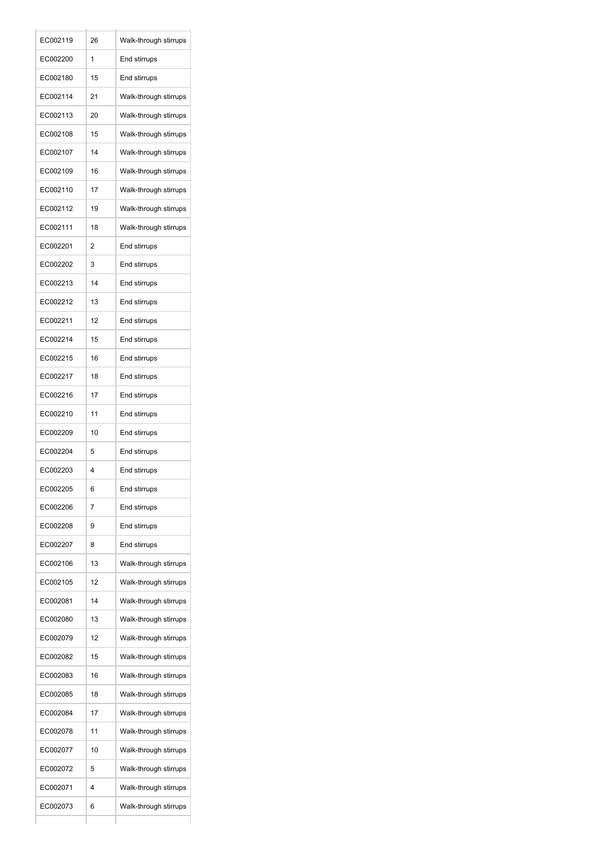| EC002119 | 26 | Walk-through stirrups |
|----------|----|-----------------------|
| EC002200 | 1  | End stirrups          |
| EC002180 | 15 | End stirrups          |
| EC002114 | 21 | Walk-through stirrups |
| EC002113 | 20 | Walk-through stirrups |
| EC002108 | 15 | Walk-through stirrups |
| EC002107 | 14 | Walk-through stirrups |
| EC002109 | 16 | Walk-through stirrups |
| EC002110 | 17 | Walk-through stirrups |
| EC002112 | 19 | Walk-through stirrups |
| EC002111 | 18 | Walk-through stirrups |
| EC002201 | 2  | End stirrups          |
| EC002202 | 3  | End stirrups          |
| EC002213 | 14 | End stirrups          |
| EC002212 | 13 | End stirrups          |
| EC002211 | 12 | End stirrups          |
| EC002214 | 15 | End stirrups          |
| EC002215 | 16 | End stirrups          |
| EC002217 | 18 | End stirrups          |
| EC002216 | 17 | End stirrups          |
| EC002210 | 11 | End stirrups          |
| EC002209 | 10 | End stirrups          |
| EC002204 | 5  | End stirrups          |
| EC002203 | 4  | End stirrups          |
| EC002205 | 6  | End stirrups          |
| EC002206 | 7  | End stirrups          |
| EC002208 | 9  | End stirrups          |
| EC002207 | 8  | End stirrups          |
| EC002106 | 13 | Walk-through stirrups |
| EC002105 | 12 | Walk-through stirrups |
| EC002081 | 14 | Walk-through stirrups |
| EC002080 | 13 | Walk-through stirrups |
| EC002079 | 12 | Walk-through stirrups |
| EC002082 | 15 | Walk-through stirrups |
| EC002083 | 16 | Walk-through stirrups |
| EC002085 | 18 | Walk-through stirrups |
| EC002084 | 17 | Walk-through stirrups |
| EC002078 | 11 | Walk-through stirrups |
| EC002077 | 10 | Walk-through stirrups |
| EC002072 | 5  | Walk-through stirrups |
| EC002071 | 4  | Walk-through stirrups |
| EC002073 | 6  | Walk-through stirrups |